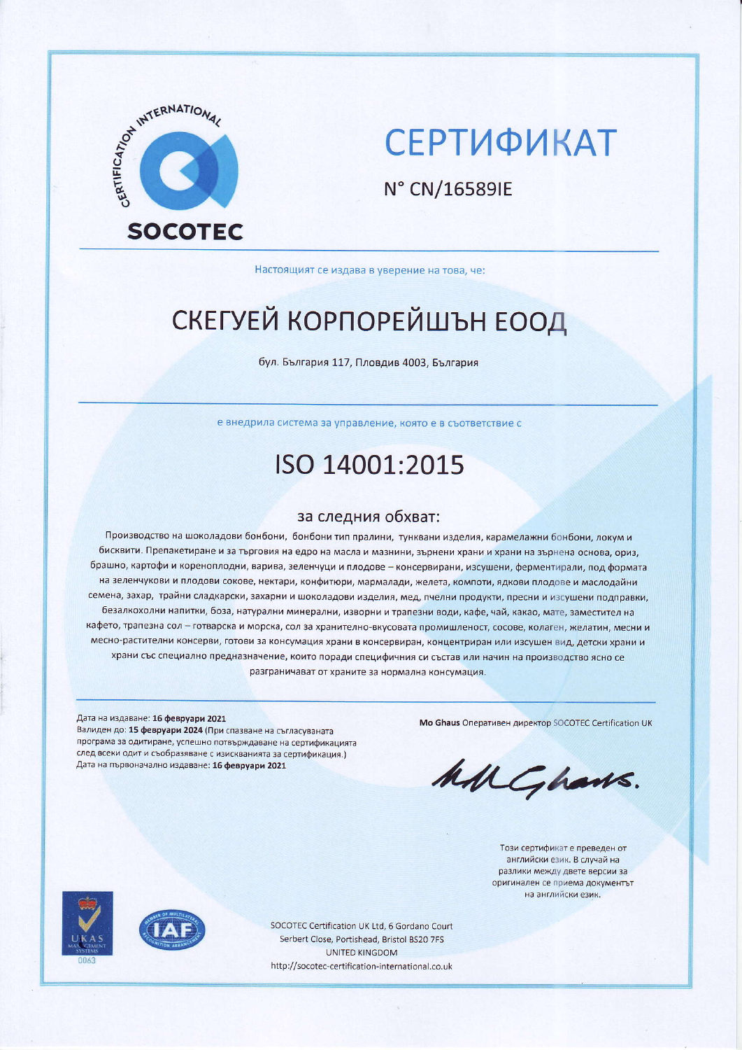

# **СЕРТИФИКАТ**

N° CN/16589IE

Настоящият се издава в уверение на това, че:

# СКЕГУЕЙ КОРПОРЕЙШЪН ЕООД

бул. България 117, Пловдив 4003, България

е внедрила система за управление, която е в съответствие с

## ISO 14001:2015

#### за следния обхват:

Производство на шоколадови бонбони, бонбони тип пралини, тунквани изделия, карамелажни бонбони, локум и бисквити. Препакетиране и за търговия на едро на масла и мазнини, зърнени храни и храни на зърнена основа, ориз, брашно, картофи и кореноплодни, варива, зеленчуци и плодове - консервирани, изсушени, ферментирали, под формата на зеленчукови и плодови сокове, нектари, конфитюри, мармалади, желета, компоти, ядкови плодове и маслодайни семена, захар, трайни сладкарски, захарни и шоколадови изделия, мед, пчелни продукти, пресни и изсушени подправки, безалкохолни напитки, боза, натурални минерални, изворни и трапезни води, кафе, чай, какао, мате, заместител на кафето, трапезна сол - готварска и морска, сол за хранително-вкусовата промишленост, сосове, колаген, желатин, месни и месно-растителни консерви, готови за консумация храни в консервиран, концентриран или изсушен вид, детски храни и храни със специално предназначение, които поради специфичния си състав или начин на производство ясно се разграничават от храните за нормална консумация.

#### Дата на издаване: 16 февруари 2021

Валиден до: 15 февруари 2024 (При спазване на съгласуваната програма за одитиране, успешно потвърждаване на сертификацията след всеки одит и съобразяване с изискванията за сертификация.) Дата на първоначално издаване: 16 февруари 2021

Mo Ghaus Оперативен директор SOCOTEC Certification UK

MMGhans.

Този сертификат е преведен от английски език. В случай на разлики между двете версии за оригинален се приема документът на английски език.





SOCOTEC Certification UK Ltd, 6 Gordano Court Serbert Close, Portishead, Bristol BS20 7FS **UNITED KINGDOM** http://socotec-certification-international.co.uk